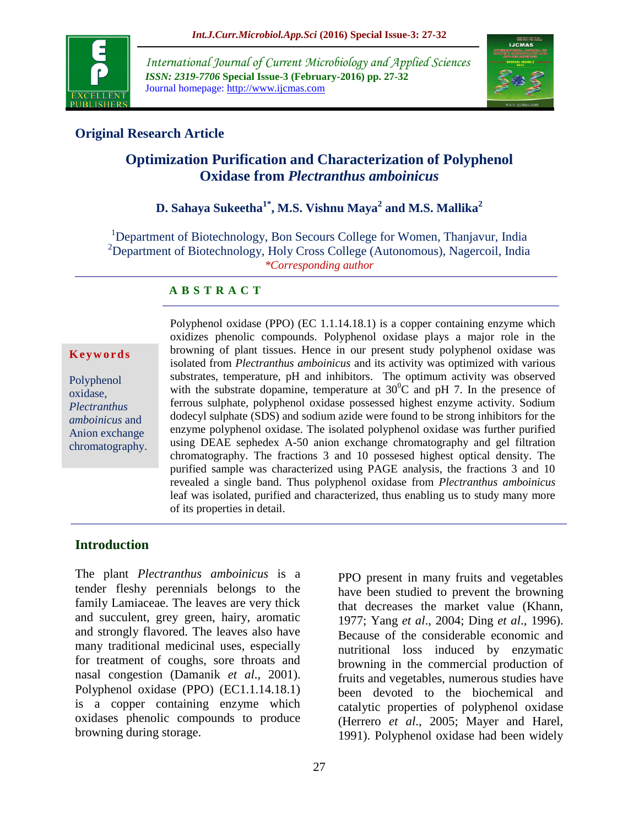

*International Journal of Current Microbiology and Applied Sciences ISSN: 2319-7706* **Special Issue-3 (February-2016) pp. 27-32** Journal homepage: http://www.ijcmas.com



# **Original Research Article**

# **Optimization Purification and Characterization of Polyphenol Oxidase from** *Plectranthus amboinicus*

# **D. Sahaya Sukeetha1\* , M.S. Vishnu Maya<sup>2</sup> and M.S. Mallika<sup>2</sup>**

<sup>1</sup>Department of Biotechnology, Bon Secours College for Women, Thanjavur, India <sup>2</sup>Department of Biotechnology, Holy Cross College (Autonomous), Nagercoil, India *\*Corresponding author*

#### **A B S T R A C T**

#### **K e y w o r d s**

Polyphenol oxidase, *Plectranthus amboinicus* and Anion exchange chromatography. Polyphenol oxidase (PPO) (EC 1.1.14.18.1) is a copper containing enzyme which oxidizes phenolic compounds. Polyphenol oxidase plays a major role in the browning of plant tissues. Hence in our present study polyphenol oxidase was isolated from *Plectranthus amboinicus* and its activity was optimized with various substrates, temperature, pH and inhibitors. The optimum activity was observed with the substrate dopamine, temperature at  $30^{\circ}$ C and pH 7. In the presence of ferrous sulphate, polyphenol oxidase possessed highest enzyme activity. Sodium dodecyl sulphate (SDS) and sodium azide were found to be strong inhibitors for the enzyme polyphenol oxidase. The isolated polyphenol oxidase was further purified using DEAE sephedex A-50 anion exchange chromatography and gel filtration chromatography. The fractions 3 and 10 possesed highest optical density. The purified sample was characterized using PAGE analysis, the fractions 3 and 10 revealed a single band. Thus polyphenol oxidase from *Plectranthus amboinicus* leaf was isolated, purified and characterized, thus enabling us to study many more of its properties in detail.

#### **Introduction**

The plant *Plectranthus amboinicus* is a tender fleshy perennials belongs to the family Lamiaceae. The leaves are very thick and succulent, grey green, hairy, aromatic and strongly flavored. The leaves also have many traditional medicinal uses, especially for treatment of coughs, sore throats and nasal congestion (Damanik *et al*., 2001). Polyphenol oxidase (PPO) (EC1.1.14.18.1) is a copper containing enzyme which oxidases phenolic compounds to produce browning during storage.

PPO present in many fruits and vegetables have been studied to prevent the browning that decreases the market value (Khann, 1977; Yang *et al*., 2004; Ding *et al*., 1996). Because of the considerable economic and nutritional loss induced by enzymatic browning in the commercial production of fruits and vegetables, numerous studies have been devoted to the biochemical and catalytic properties of polyphenol oxidase (Herrero *et al*., 2005; Mayer and Harel, 1991). Polyphenol oxidase had been widely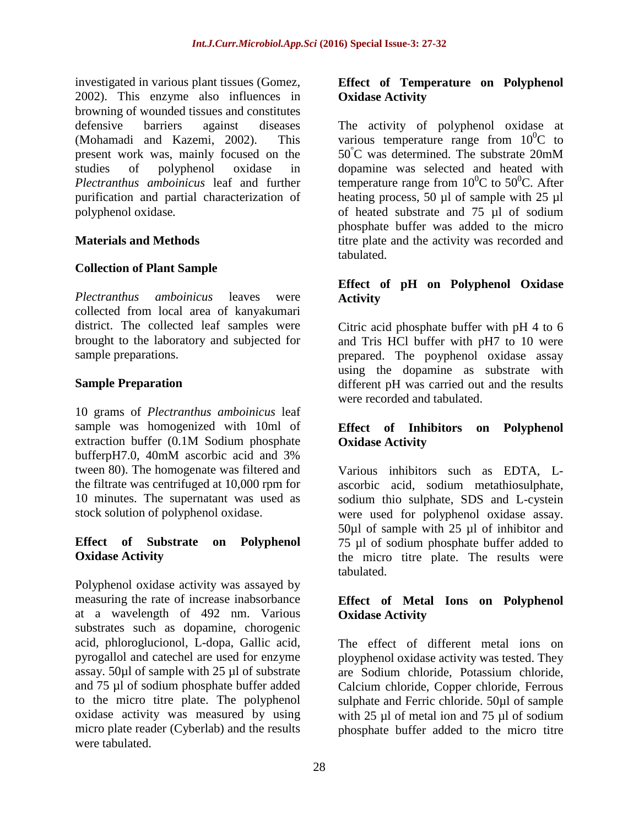investigated in various plant tissues (Gomez, 2002). This enzyme also influences in browning of wounded tissues and constitutes defensive barriers against diseases (Mohamadi and Kazemi, 2002). This present work was, mainly focused on the studies of polyphenol oxidase in *Plectranthus amboinicus* leaf and further purification and partial characterization of polyphenol oxidase*.*

#### **Materials and Methods**

#### **Collection of Plant Sample**

*Plectranthus amboinicus* leaves were collected from local area of kanyakumari district. The collected leaf samples were brought to the laboratory and subjected for sample preparations.

#### **Sample Preparation**

10 grams of *Plectranthus amboinicus* leaf sample was homogenized with 10ml of extraction buffer (0.1M Sodium phosphate bufferpH7.0, 40mM ascorbic acid and 3% tween 80). The homogenate was filtered and the filtrate was centrifuged at 10,000 rpm for 10 minutes. The supernatant was used as stock solution of polyphenol oxidase.

## **Effect of Substrate on Polyphenol Oxidase Activity**

Polyphenol oxidase activity was assayed by measuring the rate of increase inabsorbance at a wavelength of 492 nm. Various substrates such as dopamine, chorogenic acid, phloroglucionol, L-dopa, Gallic acid, pyrogallol and catechel are used for enzyme assay. 50µl of sample with 25 µl of substrate and 75 µl of sodium phosphate buffer added to the micro titre plate. The polyphenol oxidase activity was measured by using micro plate reader (Cyberlab) and the results were tabulated.

## **Effect of Temperature on Polyphenol Oxidase Activity**

The activity of polyphenol oxidase at various temperature range from  $10^{0}C$  to 50°C was determined. The substrate 20mM dopamine was selected and heated with temperature range from  $10^{0}$ C to 50<sup>0</sup>C. After heating process, 50 µl of sample with 25 µl of heated substrate and 75 µl of sodium phosphate buffer was added to the micro titre plate and the activity was recorded and tabulated.

## **Effect of pH on Polyphenol Oxidase Activity**

Citric acid phosphate buffer with pH 4 to 6 and Tris HCl buffer with pH7 to 10 were prepared. The poyphenol oxidase assay using the dopamine as substrate with different pH was carried out and the results were recorded and tabulated.

## **Effect of Inhibitors on Polyphenol Oxidase Activity**

Various inhibitors such as EDTA, Lascorbic acid, sodium metathiosulphate, sodium thio sulphate, SDS and L-cystein were used for polyphenol oxidase assay. 50µl of sample with 25 µl of inhibitor and 75 µl of sodium phosphate buffer added to the micro titre plate. The results were tabulated.

## **Effect of Metal Ions on Polyphenol Oxidase Activity**

The effect of different metal ions on ployphenol oxidase activity was tested. They are Sodium chloride, Potassium chloride, Calcium chloride, Copper chloride, Ferrous sulphate and Ferric chloride. 50µl of sample with 25 µl of metal ion and 75 µl of sodium phosphate buffer added to the micro titre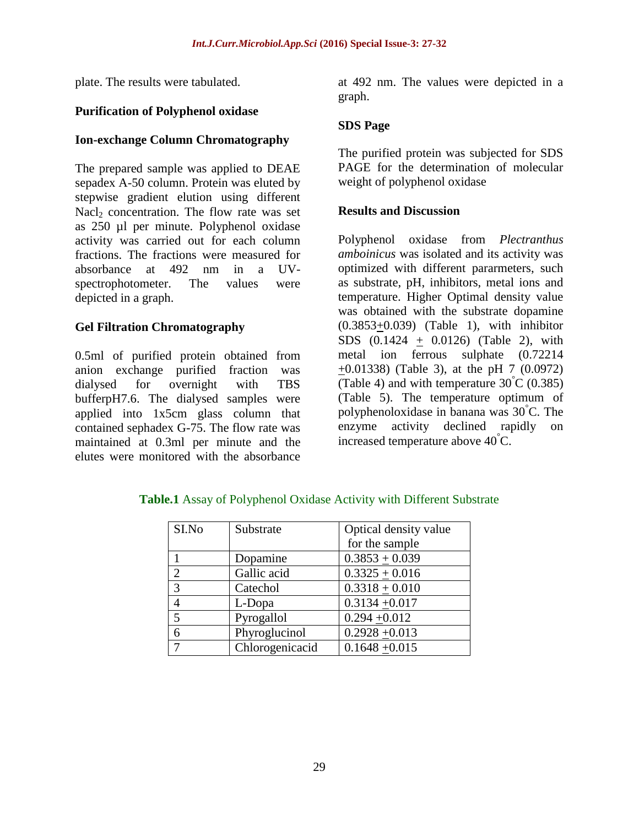plate. The results were tabulated.

## **Purification of Polyphenol oxidase**

## **Ion-exchange Column Chromatography**

The prepared sample was applied to DEAE sepadex A-50 column. Protein was eluted by stepwise gradient elution using different Nacl<sub>2</sub> concentration. The flow rate was set as 250 µl per minute. Polyphenol oxidase activity was carried out for each column fractions. The fractions were measured for absorbance at 492 nm in a UVspectrophotometer. The values were depicted in a graph.

# **Gel Filtration Chromatography**

0.5ml of purified protein obtained from anion exchange purified fraction was dialysed for overnight with TBS bufferpH7.6. The dialysed samples were applied into 1x5cm glass column that contained sephadex G-75. The flow rate was maintained at 0.3ml per minute and the elutes were monitored with the absorbance

at 492 nm. The values were depicted in a graph.

## **SDS Page**

The purified protein was subjected for SDS PAGE for the determination of molecular weight of polyphenol oxidase

#### **Results and Discussion**

Polyphenol oxidase from *Plectranthus amboinicus* was isolated and its activity was optimized with different pararmeters, such as substrate, pH, inhibitors, metal ions and temperature. Higher Optimal density value was obtained with the substrate dopamine  $(0.3853+0.039)$  (Table 1), with inhibitor SDS  $(0.1424 + 0.0126)$  (Table 2), with metal ion ferrous sulphate (0.72214 +0.01338) (Table 3), at the pH 7 (0.0972) (Table 4) and with temperature  $30^{\circ}$ C (0.385) (Table 5). The temperature optimum of polyphenoloxidase in banana was 30°C. The enzyme activity declined rapidly on increased temperature above  $40^{\circ}$ C.

| SI.No          | Substrate       | Optical density value |
|----------------|-----------------|-----------------------|
|                |                 | for the sample        |
|                | Dopamine        | $0.3853 + 0.039$      |
| $\overline{2}$ | Gallic acid     | $0.3325 + 0.016$      |
| 3              | Catechol        | $0.3318 + 0.010$      |
| $\overline{4}$ | L-Dopa          | $0.3134 + 0.017$      |
| 5              | Pyrogallol      | $0.294 + 0.012$       |
| 6              | Phyroglucinol   | $0.2928 + 0.013$      |
| $\tau$         | Chlorogenicacid | $0.1648 + 0.015$      |

**Table.1** Assay of Polyphenol Oxidase Activity with Different Substrate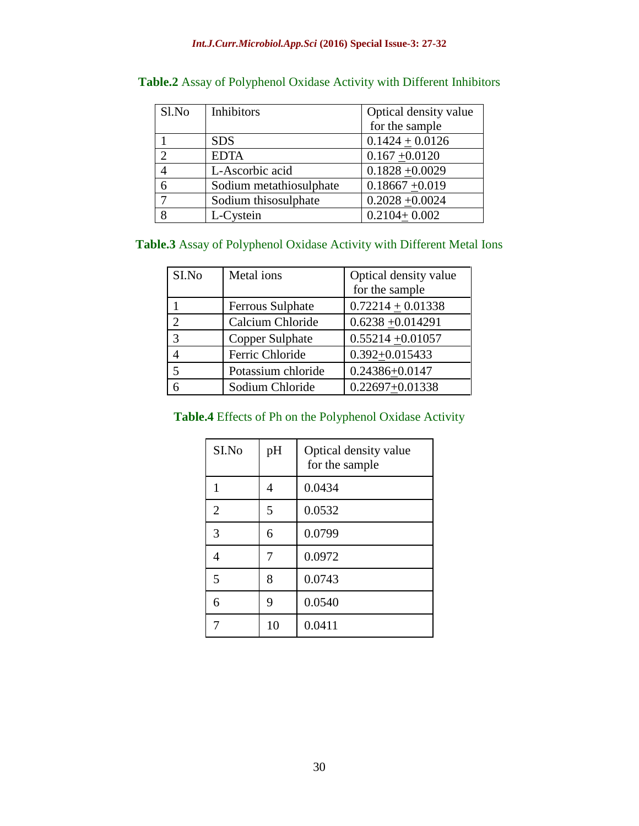#### *Int.J.Curr.Microbiol.App.Sci* **(2016) Special Issue-3: 27-32**

| Sl.No          | Inhibitors              | Optical density value |
|----------------|-------------------------|-----------------------|
|                |                         | for the sample        |
|                | <b>SDS</b>              | $0.1424 \pm 0.0126$   |
| $\overline{2}$ | <b>EDTA</b>             | $0.167 + 0.0120$      |
| 4              | L-Ascorbic acid         | $0.1828 + 0.0029$     |
| 6              | Sodium metathiosulphate | $0.18667 + 0.019$     |
| 7              | Sodium thisosulphate    | $0.2028 + 0.0024$     |
| 8              | L-Cystein               | $0.2104 + 0.002$      |

# **Table.2** Assay of Polyphenol Oxidase Activity with Different Inhibitors

# **Table.3** Assay of Polyphenol Oxidase Activity with Different Metal Ions

| SI.No                       | Metal ions         | Optical density value<br>for the sample |
|-----------------------------|--------------------|-----------------------------------------|
|                             | Ferrous Sulphate   | $0.72214 + 0.01338$                     |
| $\mathcal{D}_{\mathcal{A}}$ | Calcium Chloride   | $0.6238 + 0.014291$                     |
| 3                           | Copper Sulphate    | $0.55214 + 0.01057$                     |
|                             | Ferric Chloride    | $0.392 + 0.015433$                      |
| 5                           | Potassium chloride | 0.24386+0.0147                          |
|                             | Sodium Chloride    | $0.22697 + 0.01338$                     |

# **Table.4** Effects of Ph on the Polyphenol Oxidase Activity

| SI.No          | pH | Optical density value<br>for the sample |
|----------------|----|-----------------------------------------|
| 1              | 4  | 0.0434                                  |
| $\overline{2}$ | 5  | 0.0532                                  |
| 3              | 6  | 0.0799                                  |
| 4              | 7  | 0.0972                                  |
| 5              | 8  | 0.0743                                  |
| 6              | 9  | 0.0540                                  |
|                | 10 | 0.0411                                  |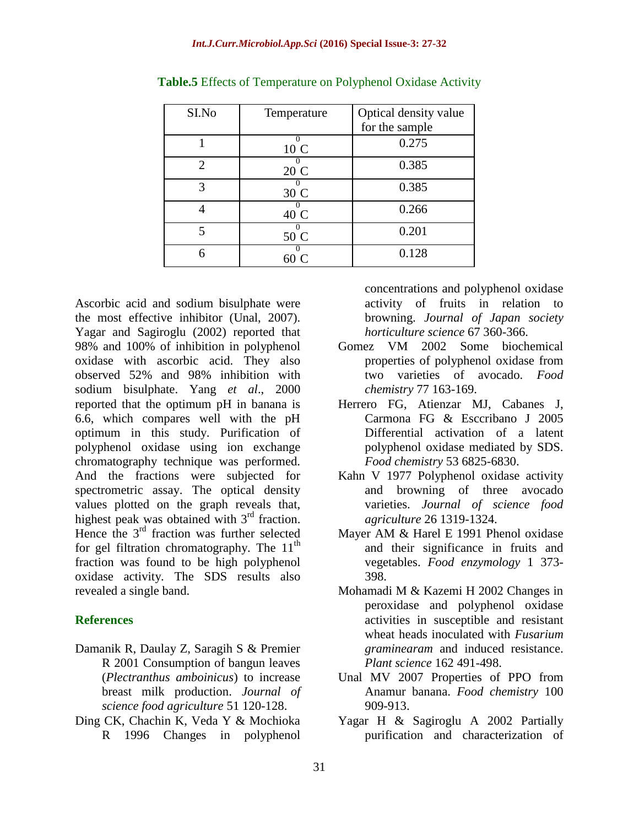| SI.No                 | Temperature      | Optical density value |
|-----------------------|------------------|-----------------------|
|                       |                  | for the sample        |
|                       | $\Omega$<br>10 C | 0.275                 |
| $\mathcal{D}_{\cdot}$ | 20 C             | 0.385                 |
| 3                     | 30 C             | 0.385                 |
|                       | 40 C             | 0.266                 |
| 5                     | 50 C             | 0.201                 |
|                       |                  | 0.128                 |

**Table.5** Effects of Temperature on Polyphenol Oxidase Activity

Ascorbic acid and sodium bisulphate were the most effective inhibitor (Unal, 2007). Yagar and Sagiroglu (2002) reported that 98% and 100% of inhibition in polyphenol oxidase with ascorbic acid. They also observed 52% and 98% inhibition with sodium bisulphate. Yang *et al*., 2000 reported that the optimum pH in banana is 6.6, which compares well with the pH optimum in this study. Purification of polyphenol oxidase using ion exchange chromatography technique was performed. And the fractions were subjected for spectrometric assay. The optical density values plotted on the graph reveals that, highest peak was obtained with 3<sup>rd</sup> fraction. Hence the  $3<sup>rd</sup>$  fraction was further selected for gel filtration chromatography. The  $11<sup>th</sup>$ fraction was found to be high polyphenol oxidase activity. The SDS results also revealed a single band.

#### **References**

- Damanik R, Daulay Z, Saragih S & Premier R 2001 Consumption of bangun leaves (*Plectranthus amboinicus*) to increase breast milk production. *Journal of science food agriculture* 51 120-128.
- Ding CK, Chachin K, Veda Y & Mochioka R 1996 Changes in polyphenol

concentrations and polyphenol oxidase activity of fruits in relation to browning. *Journal of Japan society horticulture science* 67 360-366.

- Gomez VM 2002 Some biochemical properties of polyphenol oxidase from two varieties of avocado. *Food chemistry* 77 163-169.
- Herrero FG, Atienzar MJ, Cabanes J, Carmona FG & Esccribano J 2005 Differential activation of a latent polyphenol oxidase mediated by SDS. *Food chemistry* 53 6825-6830.
- Kahn V 1977 Polyphenol oxidase activity and browning of three avocado varieties. *Journal of science food agriculture* 26 1319-1324.
- Mayer AM & Harel E 1991 Phenol oxidase and their significance in fruits and vegetables. *Food enzymology* 1 373- 398.
- Mohamadi M & Kazemi H 2002 Changes in peroxidase and polyphenol oxidase activities in susceptible and resistant wheat heads inoculated with *Fusarium graminearam* and induced resistance. *Plant science* 162 491-498.
- Unal MV 2007 Properties of PPO from Anamur banana. *Food chemistry* 100 909-913.
- Yagar H & Sagiroglu A 2002 Partially purification and characterization of